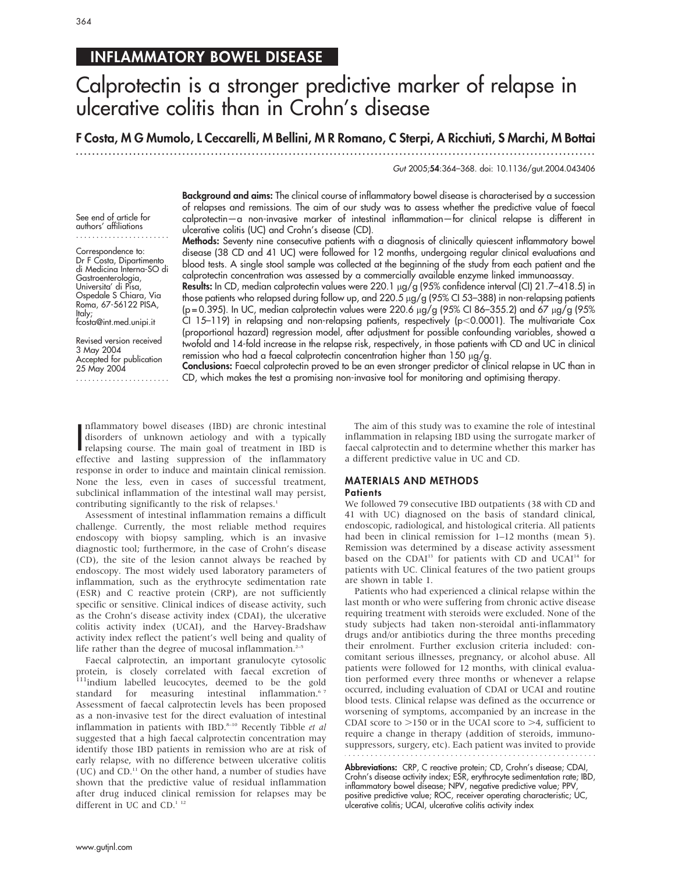# INFLAMMATORY BOWEL DISEASE

# Calprotectin is a stronger predictive marker of relapse in ulcerative colitis than in Crohn's disease

F Costa, M G Mumolo, L Ceccarelli, M Bellini, M R Romano, C Sterpi, A Ricchiuti, S Marchi, M Bottai

...............................................................................................................................

Gut 2005;54:364–368. doi: 10.1136/gut.2004.043406

Background and aims: The clinical course of inflammatory bowel disease is characterised by a succession of relapses and remissions. The aim of our study was to assess whether the predictive value of faecal calprotectin—a non-invasive marker of intestinal inflammation—for clinical relapse is different in ulcerative colitis (UC) and Crohn's disease (CD).

Methods: Seventy nine consecutive patients with a diagnosis of clinically quiescent inflammatory bowel disease (38 CD and 41 UC) were followed for 12 months, undergoing regular clinical evaluations and blood tests. A single stool sample was collected at the beginning of the study from each patient and the calprotectin concentration was assessed by a commercially available enzyme linked immunoassay.

Results: In CD, median calprotectin values were 220.1  $\mu$ g/g (95% confidence interval (CI) 21.7–418.5) in those patients who relapsed during follow up, and 220.5 µg/g (95% CI 53-388) in non-relapsing patients (p = 0.395). In UC, median calprotectin values were 220.6 µg/g (95% CI 86-355.2) and 67 µg/g (95% CI 15-119) in relapsing and non-relapsing patients, respectively ( $p$ <0.0001). The multivariate Cox (proportional hazard) regression model, after adjustment for possible confounding variables, showed a twofold and 14-fold increase in the relapse risk, respectively, in those patients with CD and UC in clinical remission who had a faecal calprotectin concentration higher than  $150 \mu g/g$ .

Conclusions: Faecal calprotectin proved to be an even stronger predictor of clinical relapse in UC than in CD, which makes the test a promising non-invasive tool for monitoring and optimising therapy.

Inflammatory bowel diseases (IBD) are chronic intestinal<br>disorders of unknown aetiology and with a typically<br>relapsing course. The main goal of treatment in IBD is<br>offective and lesting suppression of the inflammatory nflammatory bowel diseases (IBD) are chronic intestinal disorders of unknown aetiology and with a typically effective and lasting suppression of the inflammatory response in order to induce and maintain clinical remission. None the less, even in cases of successful treatment, subclinical inflammation of the intestinal wall may persist, contributing significantly to the risk of relapses.<sup>1</sup>

Assessment of intestinal inflammation remains a difficult challenge. Currently, the most reliable method requires endoscopy with biopsy sampling, which is an invasive diagnostic tool; furthermore, in the case of Crohn's disease (CD), the site of the lesion cannot always be reached by endoscopy. The most widely used laboratory parameters of inflammation, such as the erythrocyte sedimentation rate (ESR) and C reactive protein (CRP), are not sufficiently specific or sensitive. Clinical indices of disease activity, such as the Crohn's disease activity index (CDAI), the ulcerative colitis activity index (UCAI), and the Harvey-Bradshaw activity index reflect the patient's well being and quality of life rather than the degree of mucosal inflammation. $2-5$ 

Faecal calprotectin, an important granulocyte cytosolic protein, is closely correlated with faecal excretion of <sup>111</sup>indium labelled leucocytes, deemed to be the gold standard for measuring intestinal inflammation.<sup>67</sup> Assessment of faecal calprotectin levels has been proposed as a non-invasive test for the direct evaluation of intestinal inflammation in patients with IBD. $8-10$  Recently Tibble et al suggested that a high faecal calprotectin concentration may identify those IBD patients in remission who are at risk of early relapse, with no difference between ulcerative colitis (UC) and CD.11 On the other hand, a number of studies have shown that the predictive value of residual inflammation after drug induced clinical remission for relapses may be different in UC and CD.<sup>1 12</sup>

The aim of this study was to examine the role of intestinal inflammation in relapsing IBD using the surrogate marker of faecal calprotectin and to determine whether this marker has a different predictive value in UC and CD.

# MATERIALS AND METHODS **Patients**

We followed 79 consecutive IBD outpatients (38 with CD and 41 with UC) diagnosed on the basis of standard clinical, endoscopic, radiological, and histological criteria. All patients had been in clinical remission for 1–12 months (mean 5). Remission was determined by a disease activity assessment based on the CDAI<sup>13</sup> for patients with CD and UCAI<sup>14</sup> for patients with UC. Clinical features of the two patient groups are shown in table 1.

Patients who had experienced a clinical relapse within the last month or who were suffering from chronic active disease requiring treatment with steroids were excluded. None of the study subjects had taken non-steroidal anti-inflammatory drugs and/or antibiotics during the three months preceding their enrolment. Further exclusion criteria included: concomitant serious illnesses, pregnancy, or alcohol abuse. All patients were followed for 12 months, with clinical evaluation performed every three months or whenever a relapse occurred, including evaluation of CDAI or UCAI and routine blood tests. Clinical relapse was defined as the occurrence or worsening of symptoms, accompanied by an increase in the CDAI score to  $>150$  or in the UCAI score to  $>4$ , sufficient to require a change in therapy (addition of steroids, immunosuppressors, surgery, etc). Each patient was invited to provide 

Abbreviations: CRP, C reactive protein; CD, Crohn's disease; CDAI, Crohn's disease activity index; ESR, erythrocyte sedimentation rate; IBD, inflammatory bowel disease; NPV, negative predictive value; PPV positive predictive value; ROC, receiver operating characteristic; UC, ulcerative colitis; UCAI, ulcerative colitis activity index

See end of article for authors' affiliations .......................

Correspondence to: Dr F Costa, Dipartimento di Medicina Interna-SO di Gastroenterologia, Universita' di Pisa, Ospedale S Chiara, Via Roma, 67-56122 PISA, Italy; fcosta@int.med.unipi.it

Revised version received 3 May 2004 Accepted for publication 25 May 2004 .......................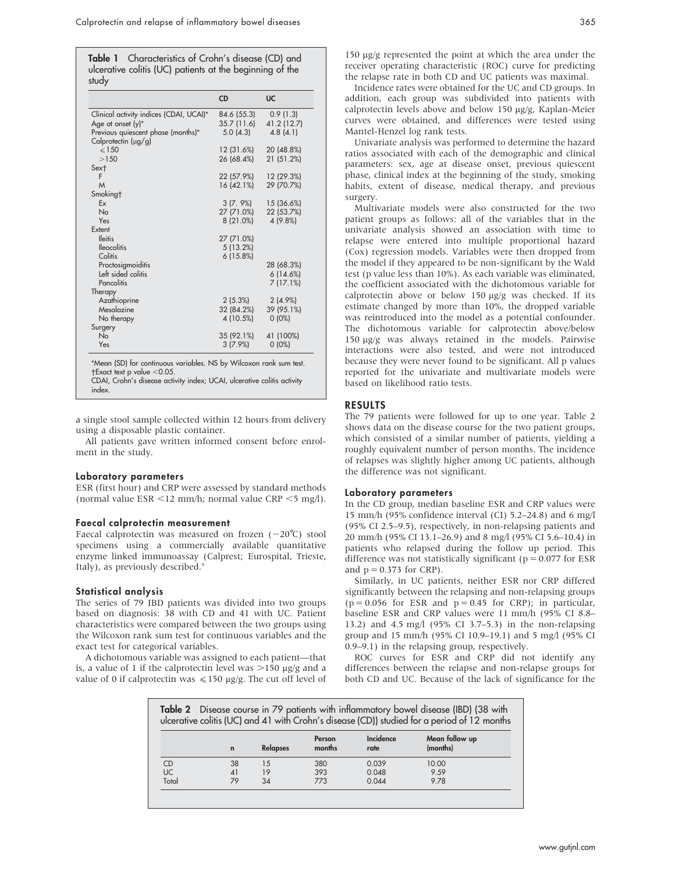Table 1 Characteristics of Crohn's disease (CD) and ulcerative colitis (UC) patients at the beginning of the study

|                                         | <b>CD</b>   | <b>UC</b>   |
|-----------------------------------------|-------------|-------------|
| Clinical activity indices (CDAI, UCAI)* | 84.6 (55.3) | 0.9(1.3)    |
| Age at onset (y)*                       | 35.7(11.6)  | 41.2 (12.7) |
| Previous quiescent phase (months)*      | 5.0(4.3)    | 4.8(4.1)    |
| Calprotectin (µg/g)                     |             |             |
| $\leq 150$                              | 12 (31.6%)  | 20 (48.8%)  |
| >150                                    | 26 (68.4%)  | 21 (51.2%)  |
| Sext                                    |             |             |
| F                                       | 22 (57.9%)  | 12 (29.3%)  |
| M                                       | 16 (42.1%)  | 29 (70.7%)  |
| Smoking†                                |             |             |
| Ex                                      | $3(7, 9\%)$ | 15 (36.6%)  |
| No                                      | 27 (71.0%)  | 22 (53.7%)  |
| Yes                                     | 8(21.0%)    | 4 (9.8%)    |
| Extent                                  |             |             |
| <b>Ileitis</b>                          | 27 (71.0%)  |             |
| <b>Ileocolitis</b>                      | 5 (13.2%)   |             |
| Colitis                                 | 6(15.8%)    |             |
| Proctosigmoiditis                       |             | 28 (68.3%)  |
| Left sided colitis                      |             | 6(14.6%)    |
| <b>Pancolitis</b>                       |             | 7(17.1%)    |
| Therapy                                 |             |             |
| Azathioprine                            | $2(5.3\%)$  | $2(4.9\%)$  |
| Mesalazine                              | 32 (84.2%)  | 39 (95.1%)  |
| No therapy                              | 4 (10.5%)   | $0(0\%)$    |
| Surgery                                 |             |             |
| <b>No</b>                               | 35 (92.1%)  | 41 (100%)   |
| Yes                                     | $3(7.9\%)$  | $0(0\%)$    |

CDAI, Crohn's disease activity index; UCAI, ulcerative colitis activity index.

a single stool sample collected within 12 hours from delivery using a disposable plastic container.

All patients gave written informed consent before enrolment in the study.

# Laboratory parameters

ESR (first hour) and CRP were assessed by standard methods (normal value ESR  $\leq$ 12 mm/h; normal value CRP  $\leq$ 5 mg/l).

## Faecal calprotectin measurement

Faecal calprotectin was measured on frozen  $(-20^{\circ}C)$  stool specimens using a commercially available quantitative enzyme linked immunoassay (Calprest; Eurospital, Trieste, Italy), as previously described.9

# Statistical analysis

The series of 79 IBD patients was divided into two groups based on diagnosis: 38 with CD and 41 with UC. Patient characteristics were compared between the two groups using the Wilcoxon rank sum test for continuous variables and the exact test for categorical variables.

A dichotomous variable was assigned to each patient—that is, a value of 1 if the calprotectin level was  $>150 \mu g/g$  and a value of 0 if calprotectin was  $\leq 150 \mu g/g$ . The cut off level of 150 mg/g represented the point at which the area under the receiver operating characteristic (ROC) curve for predicting the relapse rate in both CD and UC patients was maximal.

Incidence rates were obtained for the UC and CD groups. In addition, each group was subdivided into patients with calprotectin levels above and below 150 µg/g, Kaplan-Meier curves were obtained, and differences were tested using Mantel-Henzel log rank tests.

Univariate analysis was performed to determine the hazard ratios associated with each of the demographic and clinical parameters: sex, age at disease onset, previous quiescent phase, clinical index at the beginning of the study, smoking habits, extent of disease, medical therapy, and previous surgery.

Multivariate models were also constructed for the two patient groups as follows: all of the variables that in the univariate analysis showed an association with time to relapse were entered into multiple proportional hazard (Cox) regression models. Variables were then dropped from the model if they appeared to be non-significant by the Wald test (p value less than 10%). As each variable was eliminated, the coefficient associated with the dichotomous variable for calprotectin above or below 150 mg/g was checked. If its estimate changed by more than 10%, the dropped variable was reintroduced into the model as a potential confounder. The dichotomous variable for calprotectin above/below 150 mg/g was always retained in the models. Pairwise interactions were also tested, and were not introduced because they were never found to be significant. All p values reported for the univariate and multivariate models were based on likelihood ratio tests.

# RESULTS

The 79 patients were followed for up to one year. Table 2 shows data on the disease course for the two patient groups, which consisted of a similar number of patients, yielding a roughly equivalent number of person months. The incidence of relapses was slightly higher among UC patients, although the difference was not significant.

#### Laboratory parameters

In the CD group, median baseline ESR and CRP values were 15 mm/h (95% confidence interval (CI) 5.2–24.8) and 6 mg/l (95% CI 2.5–9.5), respectively, in non-relapsing patients and 20 mm/h (95% CI 13.1–26.9) and 8 mg/l (95% CI 5.6–10.4) in patients who relapsed during the follow up period. This difference was not statistically significant ( $p = 0.077$  for ESR and  $p = 0.373$  for CRP).

Similarly, in UC patients, neither ESR nor CRP differed significantly between the relapsing and non-relapsing groups  $(p = 0.056$  for ESR and  $p = 0.45$  for CRP); in particular, baseline ESR and CRP values were 11 mm/h (95% CI 8.8– 13.2) and 4.5 mg/l (95% CI 3.7–5.3) in the non-relapsing group and 15 mm/h (95% CI 10.9–19.1) and 5 mg/l (95% CI 0.9–9.1) in the relapsing group, respectively.

ROC curves for ESR and CRP did not identify any differences between the relapse and non-relapse groups for both CD and UC. Because of the lack of significance for the

| Table 2 Disease course in 79 patients with inflammatory bowel disease (IBD) (38 with<br>ulcerative colitis (UC) and 41 with Crohn's disease (CD)) studied for a period of 12 months |             |                 |                  |                   |                            |
|-------------------------------------------------------------------------------------------------------------------------------------------------------------------------------------|-------------|-----------------|------------------|-------------------|----------------------------|
|                                                                                                                                                                                     | $\mathbf n$ | <b>Relapses</b> | Person<br>months | Incidence<br>rate | Mean follow up<br>(months) |
| <b>CD</b>                                                                                                                                                                           | 38          | 15              | 380              | 0.039             | 10.00                      |
| UC                                                                                                                                                                                  | 41          | 19              | 393              | 0.048             | 9.59                       |
| Total                                                                                                                                                                               | 79          | 34              | 773              | 0.044             | 978                        |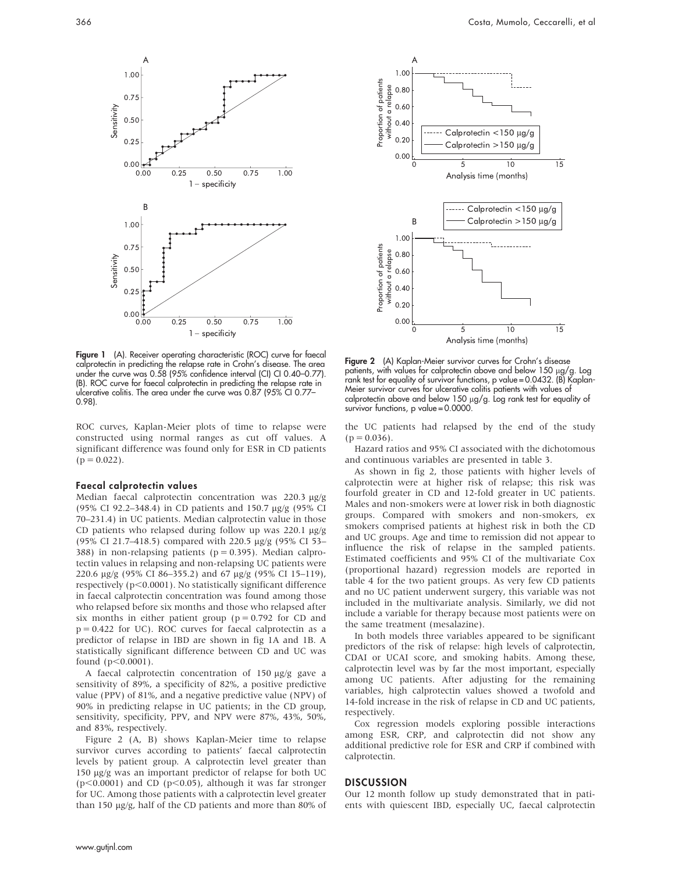

Figure 1 (A). Receiver operating characteristic (ROC) curve for faecal calprotectin in predicting the relapse rate in Crohn's disease. The area under the curve was 0.58 (95% confidence interval (CI) CI 0.40–0.77). (B). ROC curve for faecal calprotectin in predicting the relapse rate in ulcerative colitis. The area under the curve was 0.87 (95% CI 0.77– 0.98).

ROC curves, Kaplan-Meier plots of time to relapse were constructed using normal ranges as cut off values. A significant difference was found only for ESR in CD patients  $(p = 0.022)$ .

# Faecal calprotectin values

Median faecal calprotectin concentration was 220.3 µg/g (95% CI 92.2–348.4) in CD patients and 150.7 mg/g (95% CI 70–231.4) in UC patients. Median calprotectin value in those CD patients who relapsed during follow up was  $220.1 \text{ µg/g}$ (95% CI 21.7–418.5) compared with 220.5 mg/g (95% CI 53– 388) in non-relapsing patients ( $p = 0.395$ ). Median calprotectin values in relapsing and non-relapsing UC patients were 220.6 mg/g (95% CI 86–355.2) and 67 mg/g (95% CI 15–119), respectively ( $p<0.0001$ ). No statistically significant difference in faecal calprotectin concentration was found among those who relapsed before six months and those who relapsed after six months in either patient group ( $p = 0.792$  for CD and  $p = 0.422$  for UC). ROC curves for faecal calprotectin as a predictor of relapse in IBD are shown in fig 1A and 1B. A statistically significant difference between CD and UC was found  $(p<0.0001)$ .

A faecal calprotectin concentration of 150 µg/g gave a sensitivity of 89%, a specificity of 82%, a positive predictive value (PPV) of 81%, and a negative predictive value (NPV) of 90% in predicting relapse in UC patients; in the CD group, sensitivity, specificity, PPV, and NPV were 87%, 43%, 50%, and 83%, respectively.

Figure 2 (A, B) shows Kaplan-Meier time to relapse survivor curves according to patients' faecal calprotectin levels by patient group. A calprotectin level greater than 150 µg/g was an important predictor of relapse for both UC  $(p<0.0001)$  and CD ( $p<0.05$ ), although it was far stronger for UC. Among those patients with a calprotectin level greater than 150 µg/g, half of the CD patients and more than 80% of



Figure 2 (A) Kaplan-Meier survivor curves for Crohn's disease patients, with values for calprotectin above and below  $150 \mu g/g$ . Log rank test for equality of survivor functions, p value = 0.0432. (B) Kaplan-Meier survivor curves for ulcerative colitis patients with values of calprotectin above and below 150 µg/g. Log rank test for equality of survivor functions, p value = 0.0000.

the UC patients had relapsed by the end of the study  $(p = 0.036)$ .

Hazard ratios and 95% CI associated with the dichotomous and continuous variables are presented in table 3.

As shown in fig 2, those patients with higher levels of calprotectin were at higher risk of relapse; this risk was fourfold greater in CD and 12-fold greater in UC patients. Males and non-smokers were at lower risk in both diagnostic groups. Compared with smokers and non-smokers, ex smokers comprised patients at highest risk in both the CD and UC groups. Age and time to remission did not appear to influence the risk of relapse in the sampled patients. Estimated coefficients and 95% CI of the multivariate Cox (proportional hazard) regression models are reported in table 4 for the two patient groups. As very few CD patients and no UC patient underwent surgery, this variable was not included in the multivariate analysis. Similarly, we did not include a variable for therapy because most patients were on the same treatment (mesalazine).

In both models three variables appeared to be significant predictors of the risk of relapse: high levels of calprotectin, CDAI or UCAI score, and smoking habits. Among these, calprotectin level was by far the most important, especially among UC patients. After adjusting for the remaining variables, high calprotectin values showed a twofold and 14-fold increase in the risk of relapse in CD and UC patients, respectively.

Cox regression models exploring possible interactions among ESR, CRP, and calprotectin did not show any additional predictive role for ESR and CRP if combined with calprotectin.

# **DISCUSSION**

Our 12 month follow up study demonstrated that in patients with quiescent IBD, especially UC, faecal calprotectin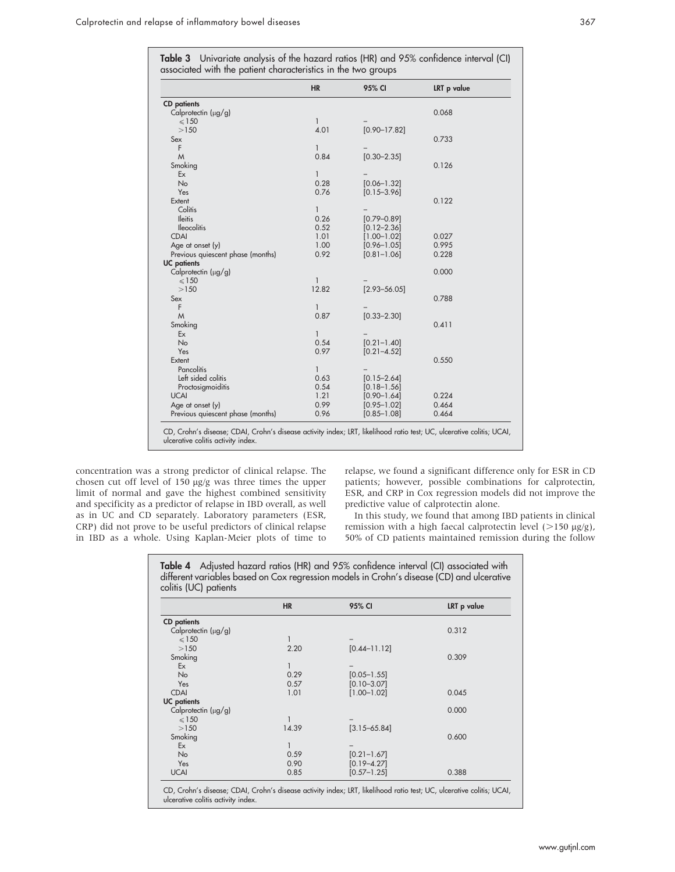Table 3 Univariate analysis of the hazard ratios (HR) and 95% confidence interval (CI) associated with the patient characteristics in the two groups

|                                                                                                                                                            | <b>HR</b>    | 95% CI           | LRT p value |
|------------------------------------------------------------------------------------------------------------------------------------------------------------|--------------|------------------|-------------|
| <b>CD</b> patients                                                                                                                                         |              |                  |             |
| Calprotectin (µg/g)                                                                                                                                        |              |                  | 0.068       |
| $\leqslant$ 150                                                                                                                                            | $\mathbf{1}$ |                  |             |
| >150                                                                                                                                                       | 4.01         | $[0.90 - 17.82]$ |             |
| Sex                                                                                                                                                        |              |                  | 0.733       |
| F                                                                                                                                                          | $\mathbf{1}$ |                  |             |
| M                                                                                                                                                          | 0.84         | $[0.30 - 2.35]$  |             |
| Smoking                                                                                                                                                    |              |                  | 0.126       |
| Ex                                                                                                                                                         | 1            |                  |             |
| No                                                                                                                                                         | 0.28         | $[0.06 - 1.32]$  |             |
| Yes                                                                                                                                                        | 0.76         | $[0.15 - 3.96]$  |             |
| Extent                                                                                                                                                     |              |                  | 0.122       |
| Colitis                                                                                                                                                    | 1            |                  |             |
| <b>Ileitis</b>                                                                                                                                             | 0.26         | $[0.79 - 0.89]$  |             |
| <b>Ileocolitis</b>                                                                                                                                         | 0.52         | $[0.12 - 2.36]$  |             |
| <b>CDAI</b>                                                                                                                                                | 1.01         | $[1.00 - 1.02]$  | 0.027       |
| Age at onset (y)                                                                                                                                           | 1.00         | $[0.96 - 1.05]$  | 0.995       |
| Previous quiescent phase (months)                                                                                                                          | 0.92         | $[0.81 - 1.06]$  | 0.228       |
| <b>UC</b> patients                                                                                                                                         |              |                  |             |
| Calprotectin (µg/g)                                                                                                                                        |              |                  | 0.000       |
| $\leqslant$ 150                                                                                                                                            | $\mathbf{1}$ |                  |             |
| >150                                                                                                                                                       | 12.82        | $[2.93 - 56.05]$ |             |
| Sex                                                                                                                                                        |              |                  | 0.788       |
| F                                                                                                                                                          | 1            |                  |             |
| M                                                                                                                                                          | 0.87         | $[0.33 - 2.30]$  |             |
| Smoking                                                                                                                                                    |              |                  | 0.411       |
| Ex                                                                                                                                                         | 1            |                  |             |
| No                                                                                                                                                         | 0.54         | $[0.21 - 1.40]$  |             |
| Yes                                                                                                                                                        | 0.97         | $[0.21 - 4.52]$  |             |
| Extent                                                                                                                                                     |              |                  | 0.550       |
| Pancolitis                                                                                                                                                 | 1            |                  |             |
| Left sided colitis                                                                                                                                         | 0.63         | $[0.15 - 2.64]$  |             |
| Proctosigmoiditis                                                                                                                                          | 0.54         | $[0.18 - 1.56]$  |             |
| <b>UCAI</b>                                                                                                                                                | 1.21         | $[0.90 - 1.64]$  | 0.224       |
| Age at onset (y)                                                                                                                                           | 0.99         | $[0.95 - 1.02]$  | 0.464       |
| Previous quiescent phase (months)                                                                                                                          | 0.96         | $[0.85 - 1.08]$  | 0.464       |
|                                                                                                                                                            |              |                  |             |
| CD, Crohn's disease; CDAI, Crohn's disease activity index; LRT, likelihood ratio test; UC, ulcerative colitis; UCAI,<br>ulcerative colitis activity index. |              |                  |             |

concentration was a strong predictor of clinical relapse. The chosen cut off level of 150 mg/g was three times the upper limit of normal and gave the highest combined sensitivity and specificity as a predictor of relapse in IBD overall, as well as in UC and CD separately. Laboratory parameters (ESR, CRP) did not prove to be useful predictors of clinical relapse in IBD as a whole. Using Kaplan-Meier plots of time to relapse, we found a significant difference only for ESR in CD patients; however, possible combinations for calprotectin, ESR, and CRP in Cox regression models did not improve the predictive value of calprotectin alone.

In this study, we found that among IBD patients in clinical remission with a high faecal calprotectin level  $(>150 \text{ }\mu\text{g/g})$ , 50% of CD patients maintained remission during the follow

|                          | <b>HR</b>    | 95% CI           | LRT p value |
|--------------------------|--------------|------------------|-------------|
| <b>CD</b> patients       |              |                  |             |
| Calprotectin $(\mu g/g)$ |              |                  | 0.312       |
| $\leq 150$               |              |                  |             |
| >150                     | 2.20         | $[0.44 - 11.12]$ |             |
| Smoking                  |              |                  | 0.309       |
| Ex                       | 1            |                  |             |
| <b>No</b>                | 0.29         | $[0.05 - 1.55]$  |             |
| Yes                      | 0.57         | $[0.10 - 3.07]$  |             |
| <b>CDAI</b>              | 1.01         | $[1.00 - 1.02]$  | 0.045       |
| <b>UC</b> patients       |              |                  |             |
| Calprotectin (µg/g)      |              |                  | 0.000       |
| $\leq 150$               |              |                  |             |
| >150                     | 14.39        | $[3.15 - 65.84]$ |             |
| Smoking                  |              |                  | 0.600       |
| Ex                       | $\mathbf{1}$ |                  |             |
| <b>No</b>                | 0.59         | $[0.21 - 1.67]$  |             |
| Yes                      | 0.90         | $[0.19 - 4.27]$  |             |
| <b>UCAI</b>              | 0.85         | $[0.57 - 1.25]$  | 0.388       |

Table 4 Adjusted hazard ratios (HR) and 95% confidence interval (CI) associated with

CD, Crohn's disease; CDAI, Crohn's disease activity index; LRT, likelihood ratio test; UC, ulcerative colitis; UCAI, ulcerative colitis activity index.